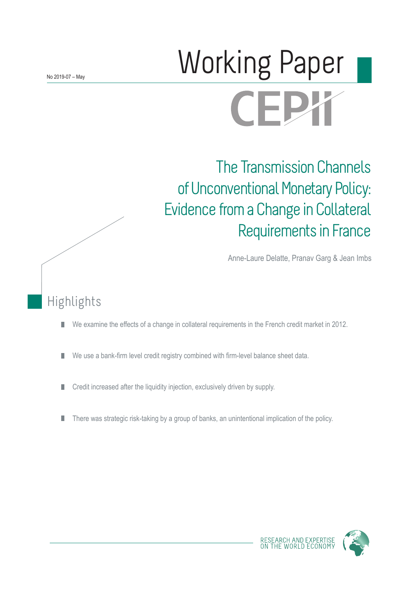# Working Paper **CFPY**

## The Transmission Channels of Unconventional Monetary Policy: Evidence from a Change in Collateral Requirements in France

Anne-Laure Delatte, Pranav Garg & Jean Imbs

## Highlights

- We examine the effects of a change in collateral requirements in the French credit market in 2012. П
- We use a bank-firm level credit registry combined with firm-level balance sheet data. ш
- Credit increased after the liquidity injection, exclusively driven by supply. П
- There was strategic risk-taking by a group of banks, an unintentional implication of the policy. П

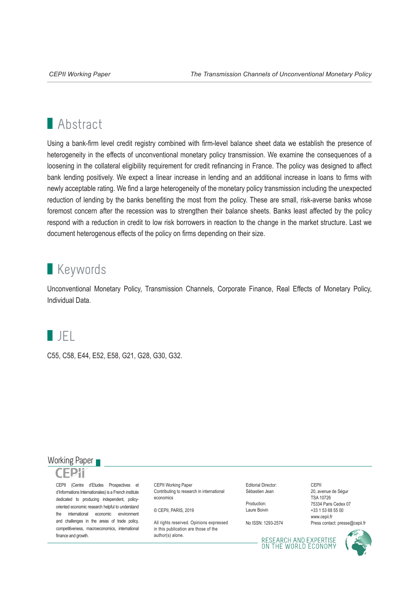## **Abstract**

Using a bank-firm level credit registry combined with firm-level balance sheet data we establish the presence of heterogeneity in the effects of unconventional monetary policy transmission. We examine the consequences of a loosening in the collateral eligibility requirement for credit refinancing in France. The policy was designed to affect bank lending positively. We expect a linear increase in lending and an additional increase in loans to firms with newly acceptable rating. We find a large heterogeneity of the monetary policy transmission including the unexpected reduction of lending by the banks benefiting the most from the policy. These are small, risk-averse banks whose foremost concern after the recession was to strengthen their balance sheets. Banks least affected by the policy respond with a reduction in credit to low risk borrowers in reaction to the change in the market structure. Last we document heterogenous effects of the policy on firms depending on their size.

## **Keywords**

Unconventional Monetary Policy, Transmission Channels, Corporate Finance, Real Effects of Monetary Policy, Individual Data.

## **I**IFL

C55, C58, E44, E52, E58, G21, G28, G30, G32.

### Working Paper

CEPII (Centre d'Etudes Prospectives et d'Informations Internationales) is a French institute dedicated to producing independent, policyoriented economic research helpful to understand the international economic environment and challenges in the areas of trade policy, competitiveness, macroeconomics, international finance and growth.

CEPII Working Paper Contributing to research in international economics

© CEPII, PARIS, 2019

All rights reserved. Opinions expressed. in this publication are those of the author(s) alone.

Editorial Director: Sébastien Jean

Production: Laure Boivin

No ISSN: 1293-2574

CEPII 20, avenue de Ségur TSA 10726 75334 Paris Cedex 07 +33 1 53 68 55 00 www.cepii.fr Press contact: presse@cepii.fr

RESEARCH AND EXPERTISE<br>ON THE WORLD ECONOMY

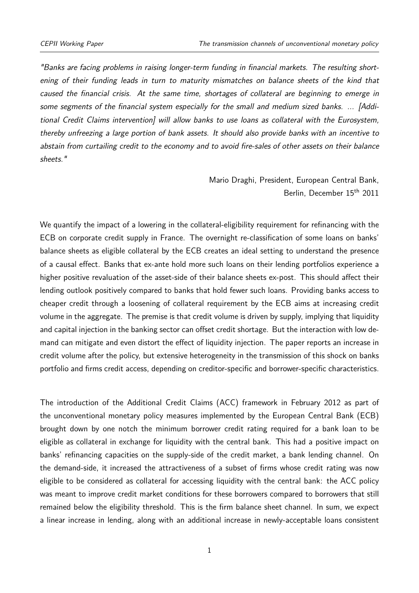<span id="page-2-0"></span>"Banks are facing problems in raising longer-term funding in financial markets. The resulting shortening of their funding leads in turn to maturity mismatches on balance sheets of the kind that caused the financial crisis. At the same time, shortages of collateral are beginning to emerge in some segments of the financial system especially for the small and medium sized banks. ... [Additional Credit Claims intervention] will allow banks to use loans as collateral with the Eurosystem, thereby unfreezing a large portion of bank assets. It should also provide banks with an incentive to abstain from curtailing credit to the economy and to avoid fire-sales of other assets on their balance sheets."

> [Mario Draghi, President, European Central Bank,](http://www.ecb.europa.eu/press/key/date/2011/html/sp111215.en.html) Berlin, December 15th 2011

We quantify the impact of a lowering in the collateral-eligibility requirement for refinancing with the ECB on corporate credit supply in France. The overnight re-classification of some loans on banks' balance sheets as eligible collateral by the ECB creates an ideal setting to understand the presence of a causal effect. Banks that ex-ante hold more such loans on their lending portfolios experience a higher positive revaluation of the asset-side of their balance sheets ex-post. This should affect their lending outlook positively compared to banks that hold fewer such loans. Providing banks access to cheaper credit through a loosening of collateral requirement by the ECB aims at increasing credit volume in the aggregate. The premise is that credit volume is driven by supply, implying that liquidity and capital injection in the banking sector can offset credit shortage. But the interaction with low demand can mitigate and even distort the effect of liquidity injection. The paper reports an increase in credit volume after the policy, but extensive heterogeneity in the transmission of this shock on banks portfolio and firms credit access, depending on creditor-specific and borrower-specific characteristics.

The introduction of the Additional Credit Claims (ACC) framework in February 2012 as part of the unconventional monetary policy measures implemented by the European Central Bank (ECB) brought down by one notch the minimum borrower credit rating required for a bank loan to be eligible as collateral in exchange for liquidity with the central bank. This had a positive impact on banks' refinancing capacities on the supply-side of the credit market, a bank lending channel. On the demand-side, it increased the attractiveness of a subset of firms whose credit rating was now eligible to be considered as collateral for accessing liquidity with the central bank: the ACC policy was meant to improve credit market conditions for these borrowers compared to borrowers that still remained below the eligibility threshold. This is the firm balance sheet channel. In sum, we expect a linear increase in lending, along with an additional increase in newly-acceptable loans consistent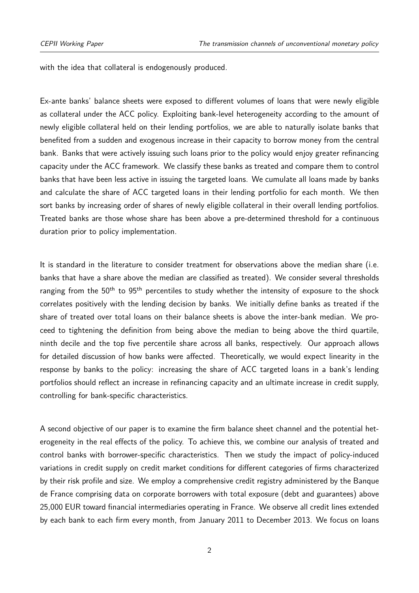with the idea that collateral is endogenously produced.

Ex-ante banks' balance sheets were exposed to different volumes of loans that were newly eligible as collateral under the ACC policy. Exploiting bank-level heterogeneity according to the amount of newly eligible collateral held on their lending portfolios, we are able to naturally isolate banks that benefited from a sudden and exogenous increase in their capacity to borrow money from the central bank. Banks that were actively issuing such loans prior to the policy would enjoy greater refinancing capacity under the ACC framework. We classify these banks as treated and compare them to control banks that have been less active in issuing the targeted loans. We cumulate all loans made by banks and calculate the share of ACC targeted loans in their lending portfolio for each month. We then sort banks by increasing order of shares of newly eligible collateral in their overall lending portfolios. Treated banks are those whose share has been above a pre-determined threshold for a continuous duration prior to policy implementation.

It is standard in the literature to consider treatment for observations above the median share (i.e. banks that have a share above the median are classified as treated). We consider several thresholds ranging from the 50<sup>th</sup> to 95<sup>th</sup> percentiles to study whether the intensity of exposure to the shock correlates positively with the lending decision by banks. We initially define banks as treated if the share of treated over total loans on their balance sheets is above the inter-bank median. We proceed to tightening the definition from being above the median to being above the third quartile, ninth decile and the top five percentile share across all banks, respectively. Our approach allows for detailed discussion of how banks were affected. Theoretically, we would expect linearity in the response by banks to the policy: increasing the share of ACC targeted loans in a bank's lending portfolios should reflect an increase in refinancing capacity and an ultimate increase in credit supply, controlling for bank-specific characteristics.

A second objective of our paper is to examine the firm balance sheet channel and the potential heterogeneity in the real effects of the policy. To achieve this, we combine our analysis of treated and control banks with borrower-specific characteristics. Then we study the impact of policy-induced variations in credit supply on credit market conditions for different categories of firms characterized by their risk profile and size. We employ a comprehensive credit registry administered by the Banque de France comprising data on corporate borrowers with total exposure (debt and guarantees) above 25,000 EUR toward financial intermediaries operating in France. We observe all credit lines extended by each bank to each firm every month, from January 2011 to December 2013. We focus on loans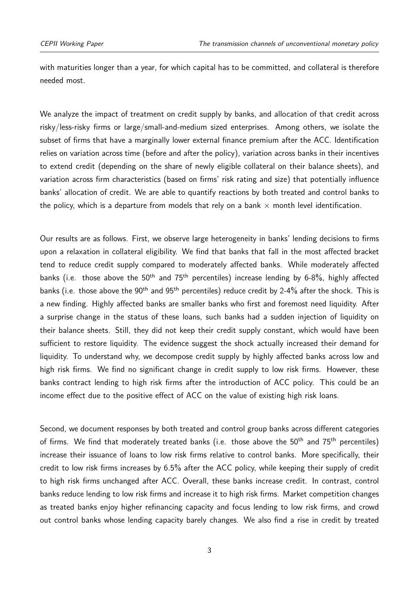with maturities longer than a year, for which capital has to be committed, and collateral is therefore needed most.

We analyze the impact of treatment on credit supply by banks, and allocation of that credit across risky/less-risky firms or large/small-and-medium sized enterprises. Among others, we isolate the subset of firms that have a marginally lower external finance premium after the ACC. Identification relies on variation across time (before and after the policy), variation across banks in their incentives to extend credit (depending on the share of newly eligible collateral on their balance sheets), and variation across firm characteristics (based on firms' risk rating and size) that potentially influence banks' allocation of credit. We are able to quantify reactions by both treated and control banks to the policy, which is a departure from models that rely on a bank  $\times$  month level identification.

Our results are as follows. First, we observe large heterogeneity in banks' lending decisions to firms upon a relaxation in collateral eligibility. We find that banks that fall in the most affected bracket tend to reduce credit supply compared to moderately affected banks. While moderately affected banks (i.e. those above the  $50<sup>th</sup>$  and  $75<sup>th</sup>$  percentiles) increase lending by 6-8%, highly affected banks (i.e. those above the 90<sup>th</sup> and 95<sup>th</sup> percentiles) reduce credit by 2-4% after the shock. This is a new finding. Highly affected banks are smaller banks who first and foremost need liquidity. After a surprise change in the status of these loans, such banks had a sudden injection of liquidity on their balance sheets. Still, they did not keep their credit supply constant, which would have been sufficient to restore liquidity. The evidence suggest the shock actually increased their demand for liquidity. To understand why, we decompose credit supply by highly affected banks across low and high risk firms. We find no significant change in credit supply to low risk firms. However, these banks contract lending to high risk firms after the introduction of ACC policy. This could be an income effect due to the positive effect of ACC on the value of existing high risk loans.

Second, we document responses by both treated and control group banks across different categories of firms. We find that moderately treated banks (i.e. those above the 50<sup>th</sup> and 75<sup>th</sup> percentiles) increase their issuance of loans to low risk firms relative to control banks. More specifically, their credit to low risk firms increases by 6.5% after the ACC policy, while keeping their supply of credit to high risk firms unchanged after ACC. Overall, these banks increase credit. In contrast, control banks reduce lending to low risk firms and increase it to high risk firms. Market competition changes as treated banks enjoy higher refinancing capacity and focus lending to low risk firms, and crowd out control banks whose lending capacity barely changes. We also find a rise in credit by treated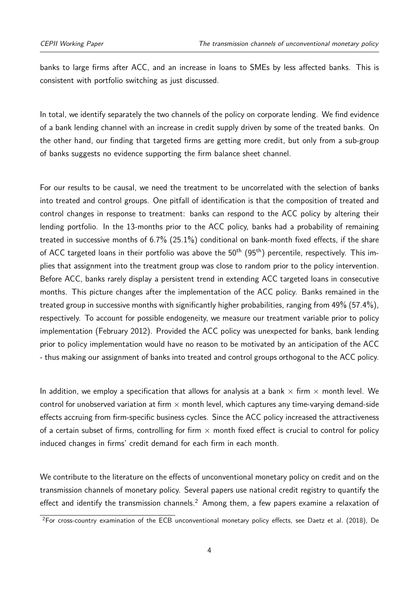banks to large firms after ACC, and an increase in loans to SMEs by less affected banks. This is consistent with portfolio switching as just discussed.

In total, we identify separately the two channels of the policy on corporate lending. We find evidence of a bank lending channel with an increase in credit supply driven by some of the treated banks. On the other hand, our finding that targeted firms are getting more credit, but only from a sub-group of banks suggests no evidence supporting the firm balance sheet channel.

For our results to be causal, we need the treatment to be uncorrelated with the selection of banks into treated and control groups. One pitfall of identification is that the composition of treated and control changes in response to treatment: banks can respond to the ACC policy by altering their lending portfolio. In the 13-months prior to the ACC policy, banks had a probability of remaining treated in successive months of 6.7% (25.1%) conditional on bank-month fixed effects, if the share of ACC targeted loans in their portfolio was above the  $50<sup>th</sup>$  (95<sup>th</sup>) percentile, respectively. This implies that assignment into the treatment group was close to random prior to the policy intervention. Before ACC, banks rarely display a persistent trend in extending ACC targeted loans in consecutive months. This picture changes after the implementation of the ACC policy. Banks remained in the treated group in successive months with significantly higher probabilities, ranging from 49% (57.4%), respectively. To account for possible endogeneity, we measure our treatment variable prior to policy implementation (February 2012). Provided the ACC policy was unexpected for banks, bank lending prior to policy implementation would have no reason to be motivated by an anticipation of the ACC - thus making our assignment of banks into treated and control groups orthogonal to the ACC policy.

In addition, we employ a specification that allows for analysis at a bank  $\times$  firm  $\times$  month level. We control for unobserved variation at firm  $\times$  month level, which captures any time-varying demand-side effects accruing from firm-specific business cycles. Since the ACC policy increased the attractiveness of a certain subset of firms, controlling for firm  $\times$  month fixed effect is crucial to control for policy induced changes in firms' credit demand for each firm in each month.

We contribute to the literature on the effects of unconventional monetary policy on credit and on the transmission channels of monetary policy. Several papers use national credit registry to quantify the effect and identify the transmission channels.<sup>[2](#page-2-0)</sup> Among them, a few papers examine a relaxation of

<sup>&</sup>lt;sup>2</sup>For cross-country examination of the ECB unconventional monetary policy effects, see Daetz et al. [\(2018\)](#page-23-0), De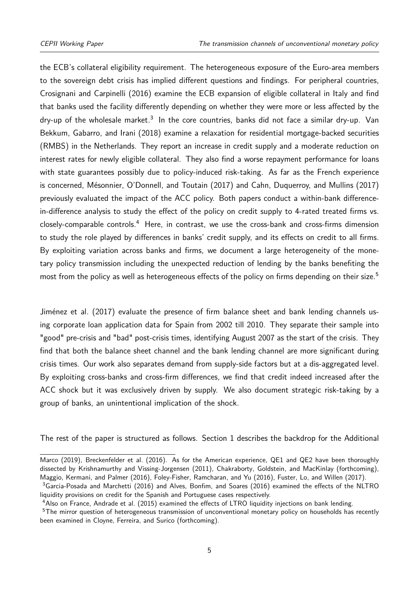the ECB's collateral eligibility requirement. The heterogeneous exposure of the Euro-area members to the sovereign debt crisis has implied different questions and findings. For peripheral countries, Crosignani and Carpinelli [\(2016\)](#page-23-1) examine the ECB expansion of eligible collateral in Italy and find that banks used the facility differently depending on whether they were more or less affected by the dry-up of the wholesale market. $^3\,$  $^3\,$  $^3\,$  In the core countries, banks did not face a similar dry-up.  $\,$  Van Bekkum, Gabarro, and Irani [\(2018\)](#page-24-0) examine a relaxation for residential mortgage-backed securities (RMBS) in the Netherlands. They report an increase in credit supply and a moderate reduction on interest rates for newly eligible collateral. They also find a worse repayment performance for loans with state guarantees possibly due to policy-induced risk-taking. As far as the French experience is concerned, Mésonnier, O'Donnell, and Toutain [\(2017\)](#page-24-1) and Cahn, Duquerroy, and Mullins [\(2017\)](#page-23-2) previously evaluated the impact of the ACC policy. Both papers conduct a within-bank differencein-difference analysis to study the effect of the policy on credit supply to 4-rated treated firms vs. closely-comparable controls.<sup>[4](#page-2-0)</sup> Here, in contrast, we use the cross-bank and cross-firms dimension to study the role played by differences in banks' credit supply, and its effects on credit to all firms. By exploiting variation across banks and firms, we document a large heterogeneity of the monetary policy transmission including the unexpected reduction of lending by the banks benefiting the most from the policy as well as heterogeneous effects of the policy on firms depending on their size.<sup>[5](#page-2-0)</sup>

Jiménez et al. [\(2017\)](#page-24-2) evaluate the presence of firm balance sheet and bank lending channels using corporate loan application data for Spain from 2002 till 2010. They separate their sample into "good" pre-crisis and "bad" post-crisis times, identifying August 2007 as the start of the crisis. They find that both the balance sheet channel and the bank lending channel are more significant during crisis times. Our work also separates demand from supply-side factors but at a dis-aggregated level. By exploiting cross-banks and cross-firm differences, we find that credit indeed increased after the ACC shock but it was exclusively driven by supply. We also document strategic risk-taking by a group of banks, an unintentional implication of the shock.

The rest of the paper is structured as follows. [Section 1](#page-7-0) describes the backdrop for the Additional

Marco [\(2019\)](#page-23-3), Breckenfelder et al. [\(2016\)](#page-23-4). As for the American experience, QE1 and QE2 have been thoroughly dissected by Krishnamurthy and Vissing-Jorgensen [\(2011\)](#page-24-3), Chakraborty, Goldstein, and MacKinlay [\(forthcoming\)](#page-23-5), Maggio, Kermani, and Palmer [\(2016\)](#page-24-4), Foley-Fisher, Ramcharan, and Yu [\(2016\)](#page-24-5), Fuster, Lo, and Willen [\(2017\)](#page-24-6).

<sup>&</sup>lt;sup>3</sup>Garcia-Posada and Marchetti [\(2016\)](#page-23-6) and Alves, Bonfim, and Soares (2016) examined the effects of the NLTRO liquidity provisions on credit for the Spanish and Portuguese cases respectively.

<sup>4</sup>Also on France, Andrade et al. [\(2015\)](#page-23-7) examined the effects of LTRO liquidity injections on bank lending.

<sup>&</sup>lt;sup>5</sup>The mirror question of heterogeneous transmission of unconventional monetary policy on households has recently been examined in Cloyne, Ferreira, and Surico [\(forthcoming\)](#page-23-8).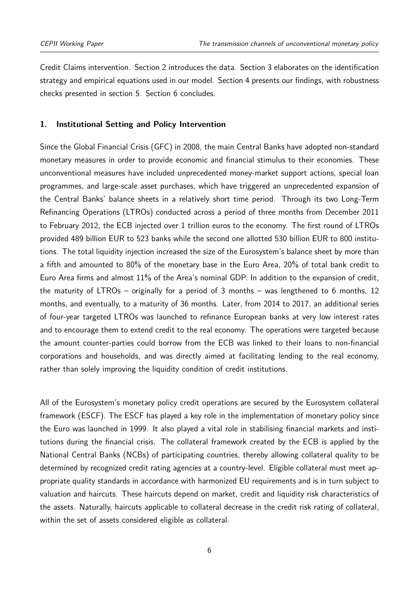Credit Claims intervention. [Section 2](#page-9-0) introduces the data. [Section 3](#page-10-0) elaborates on the identification strategy and empirical equations used in our model. [Section 4](#page-16-0) presents our findings, with robustness checks presented in section 5. [Section 6](#page-22-0) concludes.

#### <span id="page-7-0"></span>**1. Institutional Setting and Policy Intervention**

Since the Global Financial Crisis (GFC) in 2008, the main Central Banks have adopted non-standard monetary measures in order to provide economic and financial stimulus to their economies. These unconventional measures have included unprecedented money-market support actions, special loan programmes, and large-scale asset purchases, which have triggered an unprecedented expansion of the Central Banks' balance sheets in a relatively short time period. Through its two Long-Term Refinancing Operations (LTROs) conducted across a period of three months from December 2011 to February 2012, the ECB injected over 1 trillion euros to the economy. The first round of LTROs provided 489 billion EUR to 523 banks while the second one allotted 530 billion EUR to 800 institutions. The total liquidity injection increased the size of the Eurosystem's balance sheet by more than a fifth and amounted to 80% of the monetary base in the Euro Area, 20% of total bank credit to Euro Area firms and almost 11% of the Area's nominal GDP. In addition to the expansion of credit, the maturity of LTROs – originally for a period of 3 months – was lengthened to 6 months, 12 months, and eventually, to a maturity of 36 months. Later, from 2014 to 2017, an additional series of four-year targeted LTROs was launched to refinance European banks at very low interest rates and to encourage them to extend credit to the real economy. The operations were targeted because the amount counter-parties could borrow from the ECB was linked to their loans to non-financial corporations and households, and was directly aimed at facilitating lending to the real economy, rather than solely improving the liquidity condition of credit institutions.

All of the Eurosystem's monetary policy credit operations are secured by the Eurosystem collateral framework (ESCF). The ESCF has played a key role in the implementation of monetary policy since the Euro was launched in 1999. It also played a vital role in stabilising financial markets and institutions during the financial crisis. The collateral framework created by the ECB is applied by the National Central Banks (NCBs) of participating countries, thereby allowing collateral quality to be determined by recognized credit rating agencies at a country-level. Eligible collateral must meet appropriate quality standards in accordance with harmonized EU requirements and is in turn subject to valuation and haircuts. These haircuts depend on market, credit and liquidity risk characteristics of the assets. Naturally, haircuts applicable to collateral decrease in the credit risk rating of collateral, within the set of assets considered eligible as collateral.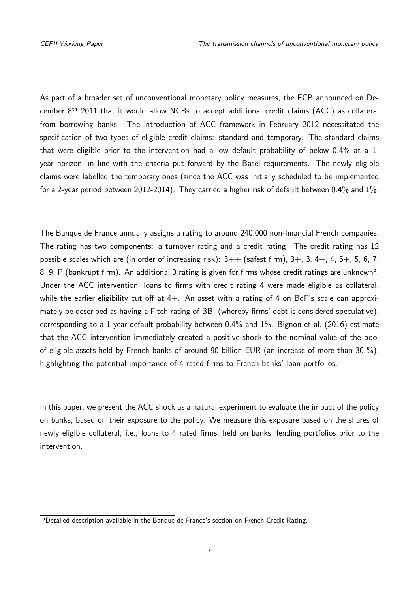As part of a broader set of unconventional monetary policy measures, the ECB announced on December  $8<sup>th</sup>$  2011 that it would allow NCBs to accept additional credit claims (ACC) as collateral from borrowing banks. The introduction of ACC framework in February 2012 necessitated the specification of two types of eligible credit claims: standard and temporary. The standard claims that were eligible prior to the intervention had a low default probability of below 0.4% at a 1 year horizon, in line with the criteria put forward by the Basel requirements. The newly eligible claims were labelled the temporary ones (since the ACC was initially scheduled to be implemented for a 2-year period between 2012-2014). They carried a higher risk of default between 0.4% and 1%.

The Banque de France annually assigns a rating to around 240,000 non-financial French companies. The rating has two components: a turnover rating and a credit rating. The credit rating has 12 possible scales which are (in order of increasing risk):  $3++$  (safest firm),  $3+$ , 3,  $4+$ , 4, 5+, 5, 6, 7, 8, 9, P (bankrupt firm). An additional 0 rating is given for firms whose credit ratings are unknown $^6$  $^6$ . Under the ACC intervention, loans to firms with credit rating 4 were made eligible as collateral, while the earlier eligibility cut off at  $4+$ . An asset with a rating of 4 on BdF's scale can approximately be described as having a Fitch rating of BB- (whereby firms' debt is considered speculative), corresponding to a 1-year default probability between 0.4% and 1%. Bignon et al. [\(2016\)](#page-23-9) estimate that the ACC intervention immediately created a positive shock to the nominal value of the pool of eligible assets held by French banks of around 90 billion EUR (an increase of more than 30 %), highlighting the potential importance of 4-rated firms to French banks' loan portfolios.

In this paper, we present the ACC shock as a natural experiment to evaluate the impact of the policy on banks, based on their exposure to the policy. We measure this exposure based on the shares of newly eligible collateral, i.e., loans to 4 rated firms, held on banks' lending portfolios prior to the intervention.

 $6$ Detailed description available in the Banque de France's section on [French Credit Rating.](https://entreprises.banque-france.fr/page-sommaire/comprendre-la-cotation-banque-de-france)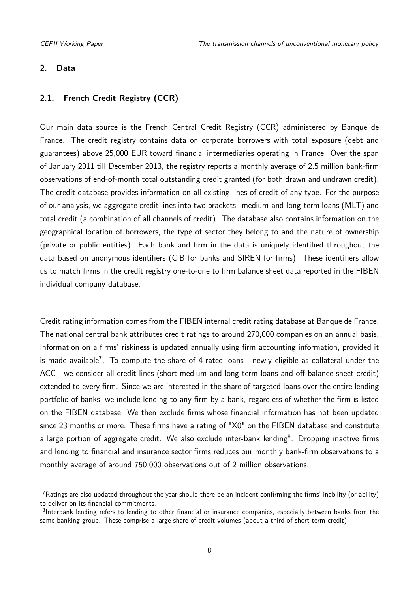#### <span id="page-9-0"></span>**2. Data**

#### **2.1. French Credit Registry (CCR)**

Our main data source is the French Central Credit Registry (CCR) administered by Banque de France. The credit registry contains data on corporate borrowers with total exposure (debt and guarantees) above 25,000 EUR toward financial intermediaries operating in France. Over the span of January 2011 till December 2013, the registry reports a monthly average of 2.5 million bank-firm observations of end-of-month total outstanding credit granted (for both drawn and undrawn credit). The credit database provides information on all existing lines of credit of any type. For the purpose of our analysis, we aggregate credit lines into two brackets: medium-and-long-term loans (MLT) and total credit (a combination of all channels of credit). The database also contains information on the geographical location of borrowers, the type of sector they belong to and the nature of ownership (private or public entities). Each bank and firm in the data is uniquely identified throughout the data based on anonymous identifiers (CIB for banks and SIREN for firms). These identifiers allow us to match firms in the credit registry one-to-one to firm balance sheet data reported in the FIBEN individual company database.

Credit rating information comes from the FIBEN internal credit rating database at Banque de France. The national central bank attributes credit ratings to around 270,000 companies on an annual basis. Information on a firms' riskiness is updated annually using firm accounting information, provided it is made available<sup>[7](#page-2-0)</sup>. To compute the share of 4-rated loans - newly eligible as collateral under the ACC - we consider all credit lines (short-medium-and-long term loans and off-balance sheet credit) extended to every firm. Since we are interested in the share of targeted loans over the entire lending portfolio of banks, we include lending to any firm by a bank, regardless of whether the firm is listed on the FIBEN database. We then exclude firms whose financial information has not been updated since 23 months or more. These firms have a rating of "X0" on the FIBEN database and constitute a large portion of aggregate credit. We also exclude inter-bank lending $^8$  $^8$ . Dropping inactive firms and lending to financial and insurance sector firms reduces our monthly bank-firm observations to a monthly average of around 750,000 observations out of 2 million observations.

<sup>&</sup>lt;sup>7</sup>Ratings are also updated throughout the year should there be an incident confirming the firms' inability (or ability) to deliver on its financial commitments.

<sup>&</sup>lt;sup>8</sup>Interbank lending refers to lending to other financial or insurance companies, especially between banks from the same banking group. These comprise a large share of credit volumes (about a third of short-term credit).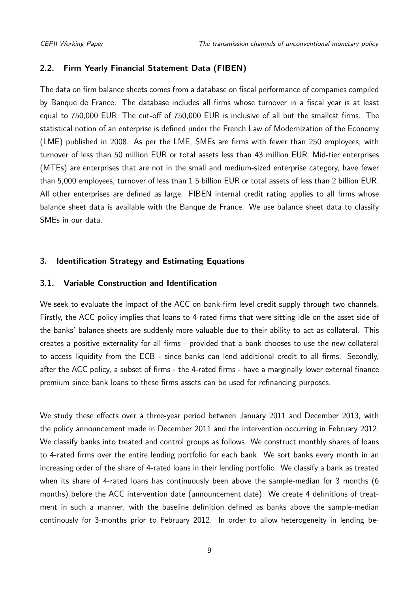#### **2.2. Firm Yearly Financial Statement Data (FIBEN)**

The data on firm balance sheets comes from a database on fiscal performance of companies compiled by Banque de France. The database includes all firms whose turnover in a fiscal year is at least equal to 750,000 EUR. The cut-off of 750,000 EUR is inclusive of all but the smallest firms. The statistical notion of an enterprise is defined under the French Law of Modernization of the Economy (LME) published in 2008. As per the LME, SMEs are firms with fewer than 250 employees, with turnover of less than 50 million EUR or total assets less than 43 million EUR. Mid-tier enterprises (MTEs) are enterprises that are not in the small and medium-sized enterprise category, have fewer than 5,000 employees, turnover of less than 1.5 billion EUR or total assets of less than 2 billion EUR. All other enterprises are defined as large. FIBEN internal credit rating applies to all firms whose balance sheet data is available with the Banque de France. We use balance sheet data to classify SMEs in our data.

#### <span id="page-10-0"></span>**3. Identification Strategy and Estimating Equations**

#### **3.1. Variable Construction and Identification**

We seek to evaluate the impact of the ACC on bank-firm level credit supply through two channels. Firstly, the ACC policy implies that loans to 4-rated firms that were sitting idle on the asset side of the banks' balance sheets are suddenly more valuable due to their ability to act as collateral. This creates a positive externality for all firms - provided that a bank chooses to use the new collateral to access liquidity from the ECB - since banks can lend additional credit to all firms. Secondly, after the ACC policy, a subset of firms - the 4-rated firms - have a marginally lower external finance premium since bank loans to these firms assets can be used for refinancing purposes.

We study these effects over a three-year period between January 2011 and December 2013, with the policy announcement made in December 2011 and the intervention occurring in February 2012. We classify banks into treated and control groups as follows. We construct monthly shares of loans to 4-rated firms over the entire lending portfolio for each bank. We sort banks every month in an increasing order of the share of 4-rated loans in their lending portfolio. We classify a bank as treated when its share of 4-rated loans has continuously been above the sample-median for 3 months (6 months) before the ACC intervention date (announcement date). We create 4 definitions of treatment in such a manner, with the baseline definition defined as banks above the sample-median continously for 3-months prior to February 2012. In order to allow heterogeneity in lending be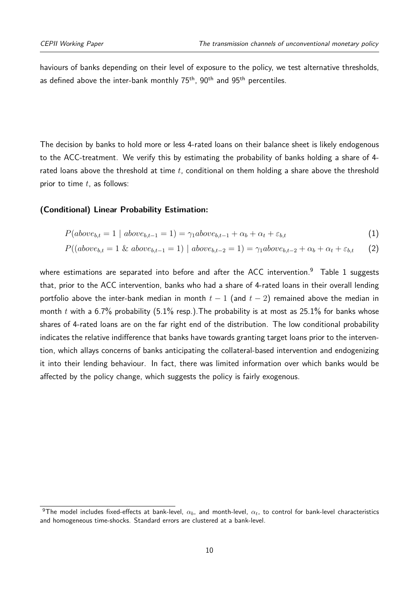haviours of banks depending on their level of exposure to the policy, we test alternative thresholds, as defined above the inter-bank monthly  $75<sup>th</sup>$ ,  $90<sup>th</sup>$  and  $95<sup>th</sup>$  percentiles.

The decision by banks to hold more or less 4-rated loans on their balance sheet is likely endogenous to the ACC-treatment. We verify this by estimating the probability of banks holding a share of 4 rated loans above the threshold at time *t*, conditional on them holding a share above the threshold prior to time *t*, as follows:

#### **(Conditional) Linear Probability Estimation:**

$$
P(above_{b,t} = 1 | above_{b,t-1} = 1) = \gamma_1 above_{b,t-1} + \alpha_b + \alpha_t + \varepsilon_{b,t}
$$
\n
$$
(1)
$$

$$
P((above_{b,t} = 1 \& above_{b,t-1} = 1) | above_{b,t-2} = 1) = \gamma_1 above_{b,t-2} + \alpha_b + \alpha_t + \varepsilon_{b,t} \tag{2}
$$

where estimations are separated into before and after the ACC intervention.<sup>[9](#page-2-0)</sup> [Table 1](#page-12-0) suggests that, prior to the ACC intervention, banks who had a share of 4-rated loans in their overall lending portfolio above the inter-bank median in month  $t-1$  (and  $t-2$ ) remained above the median in month *t* with a 6.7% probability  $(5.1\%$  resp.). The probability is at most as 25.1% for banks whose shares of 4-rated loans are on the far right end of the distribution. The low conditional probability indicates the relative indifference that banks have towards granting target loans prior to the intervention, which allays concerns of banks anticipating the collateral-based intervention and endogenizing it into their lending behaviour. In fact, there was limited information over which banks would be affected by the policy change, which suggests the policy is fairly exogenous.

<sup>&</sup>lt;sup>9</sup>The model includes fixed-effects at bank-level,  $\alpha_b$ , and month-level,  $\alpha_t$ , to control for bank-level characteristics and homogeneous time-shocks. Standard errors are clustered at a bank-level.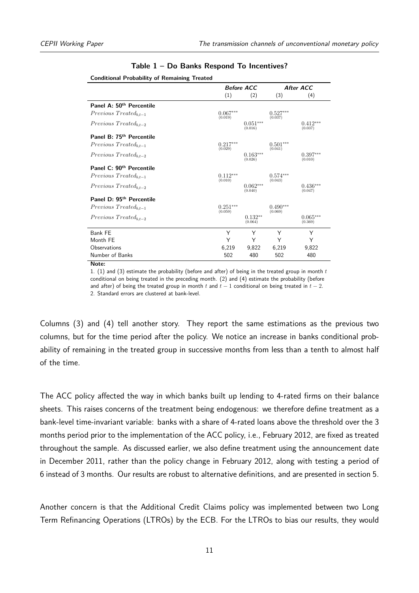|                                      | <b>Before ACC</b>     |                            |                       | After ACC             |
|--------------------------------------|-----------------------|----------------------------|-----------------------|-----------------------|
|                                      | (1)                   | (2)                        | (3)                   | (4)                   |
| Panel A: 50 <sup>th</sup> Percentile |                       |                            |                       |                       |
| $Previous \, Treated_{b,t-1}$        | $0.067***$<br>(0.019) |                            | $0.527***$<br>(0.037) |                       |
| $Previous \, Treated_{b.t-2}$        |                       | $0.051^{***}\,$<br>(0.016) |                       | $0.412***$<br>(0.037) |
| Panel B: 75 <sup>th</sup> Percentile |                       |                            |                       |                       |
| $Previous \, Treated_{b.t-1}$        | $0.217***$<br>(0.029) |                            | $0.501***$<br>(0.041) |                       |
| $Previous \, Treated_{b.t-2}$        |                       | $0.163***$<br>(0.026)      |                       | $0.397***$<br>(0.010) |
| Panel C: 90 <sup>th</sup> Percentile |                       |                            |                       |                       |
| $Previous \, Treated_{b.t-1}$        | $0.112***$<br>(0.010) |                            | $0.574***$<br>(0.043) |                       |
| $Previous \, Treated_{b.t-2}$        |                       | $0.062***$<br>(0.040)      |                       | $0.436***$<br>(0.047) |
| Panel D: 95 <sup>th</sup> Percentile |                       |                            |                       |                       |
| $Previous \, Treated_{b,t-1}$        | $0.251***$<br>(0.059) |                            | $0.490***$<br>(0.069) |                       |
| $Previous \, Treated_{b.t-2}$        |                       | $0.132**$<br>(0.064)       |                       | $0.065***$<br>(0.369) |
| Bank FE                              | Υ                     | Υ                          | Υ                     | Υ                     |
| Month FE                             | Υ                     | Y                          | Y                     | Υ                     |
| Observations                         | 6,219                 | 9,822                      | 6,219                 | 9,822                 |
| Number of Banks                      | 502                   | 480                        | 502                   | 480                   |

#### **Table 1 – Do Banks Respond To Incentives?**

<span id="page-12-0"></span>

**Note:**

1. (1) and (3) estimate the probability (before and after) of being in the treated group in month *<sup>t</sup>* conditional on being treated in the preceding month. (2) and (4) estimate the probability (before and after) of being the treated group in month *<sup>t</sup>* and *<sup>t</sup>* <sup>−</sup> 1 conditional on being treated in *<sup>t</sup>* <sup>−</sup> 2. 2. Standard errors are clustered at bank-level.

Columns (3) and (4) tell another story. They report the same estimations as the previous two columns, but for the time period after the policy. We notice an increase in banks conditional probability of remaining in the treated group in successive months from less than a tenth to almost half of the time.

The ACC policy affected the way in which banks built up lending to 4-rated firms on their balance sheets. This raises concerns of the treatment being endogenous: we therefore define treatment as a bank-level time-invariant variable: banks with a share of 4-rated loans above the threshold over the 3 months period prior to the implementation of the ACC policy, i.e., February 2012, are fixed as treated throughout the sample. As discussed earlier, we also define treatment using the announcement date in December 2011, rather than the policy change in February 2012, along with testing a period of 6 instead of 3 months. Our results are robust to alternative definitions, and are presented in [section 5.](#page-21-0)

Another concern is that the Additional Credit Claims policy was implemented between two Long Term Refinancing Operations (LTROs) by the ECB. For the LTROs to bias our results, they would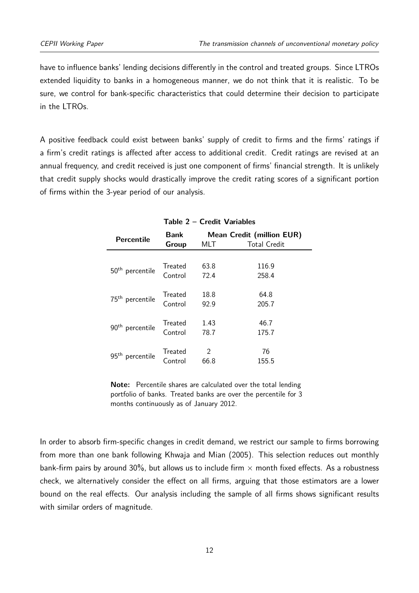have to influence banks' lending decisions differently in the control and treated groups. Since LTROs extended liquidity to banks in a homogeneous manner, we do not think that it is realistic. To be sure, we control for bank-specific characteristics that could determine their decision to participate in the LTROs.

A positive feedback could exist between banks' supply of credit to firms and the firms' ratings if a firm's credit ratings is affected after access to additional credit. Credit ratings are revised at an annual frequency, and credit received is just one component of firms' financial strength. It is unlikely that credit supply shocks would drastically improve the credit rating scores of a significant portion of firms within the 3-year period of our analysis.

<span id="page-13-0"></span>

| Percentile                  | <b>Bank</b><br>Group | MLT  | <b>Mean Credit (million EUR)</b><br><b>Total Credit</b> |
|-----------------------------|----------------------|------|---------------------------------------------------------|
|                             |                      |      |                                                         |
|                             | Treated              | 63.8 | 116.9                                                   |
| 50 <sup>th</sup> percentile | Control              | 72.4 | 258.4                                                   |
|                             |                      |      |                                                         |
| 75 <sup>th</sup> percentile | <b>Treated</b>       | 18.8 | 64.8                                                    |
|                             | Control              | 92.9 | 205.7                                                   |
|                             |                      |      |                                                         |
|                             | Treated              | 1.43 | 46.7                                                    |
| 90 <sup>th</sup> percentile | Control              | 78.7 | 175.7                                                   |
|                             |                      |      |                                                         |
| 95 <sup>th</sup>            | Treated              | 2    | 76                                                      |
| percentile                  | Control              | 66.8 | 155.5                                                   |

#### **Table 2 – Credit Variables**

**Note:** Percentile shares are calculated over the total lending portfolio of banks. Treated banks are over the percentile for 3 months continuously as of January 2012.

In order to absorb firm-specific changes in credit demand, we restrict our sample to firms borrowing from more than one bank following Khwaja and Mian [\(2005\)](#page-24-8). This selection reduces out monthly bank-firm pairs by around 30%, but allows us to include firm  $\times$  month fixed effects. As a robustness check, we alternatively consider the effect on all firms, arguing that those estimators are a lower bound on the real effects. Our analysis including the sample of all firms shows significant results with similar orders of magnitude.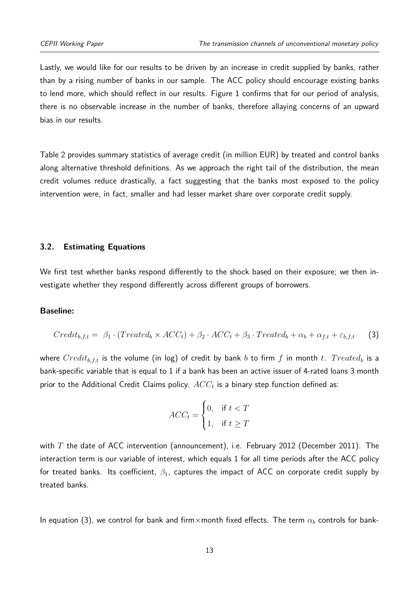Lastly, we would like for our results to be driven by an increase in credit supplied by banks, rather than by a rising number of banks in our sample. The ACC policy should encourage existing banks to lend more, which should reflect in our results. [Figure 1](#page-25-0) confirms that for our period of analysis, there is no observable increase in the number of banks, therefore allaying concerns of an upward bias in our results.

[Table 2](#page-13-0) provides summary statistics of average credit (in million EUR) by treated and control banks along alternative threshold definitions. As we approach the right tail of the distribution, the mean credit volumes reduce drastically, a fact suggesting that the banks most exposed to the policy intervention were, in fact, smaller and had lesser market share over corporate credit supply.

#### **3.2. Estimating Equations**

We first test whether banks respond differently to the shock based on their exposure; we then investigate whether they respond differently across different groups of borrowers.

#### **Baseline:**

$$
Credit_{b,f,t} = \beta_1 \cdot (Treated_b \times ACC_t) + \beta_2 \cdot ACC_t + \beta_3 \cdot Treated_b + \alpha_b + \alpha_{f,t} + \varepsilon_{b,f,t} \tag{3}
$$

where  $Credit_{b, f, t}$  is the volume (in log) of credit by bank *b* to firm *f* in month *t*. *Treated*<sup>*b*</sup> is a bank-specific variable that is equal to 1 if a bank has been an active issuer of 4-rated loans 3 month prior to the Additional Credit Claims policy. *ACC<sup>t</sup>* is a binary step function defined as:

$$
ACC_t = \begin{cases} 0, & \text{if } t < T \\ 1, & \text{if } t \ge T \end{cases}
$$

with *T* the date of ACC intervention (announcement), i.e. February 2012 (December 2011). The interaction term is our variable of interest, which equals 1 for all time periods after the ACC policy for treated banks. Its coefficient, *β*1, captures the impact of ACC on corporate credit supply by treated banks.

In equation (3), we control for bank and firm×month fixed effects. The term *α<sup>b</sup>* controls for bank-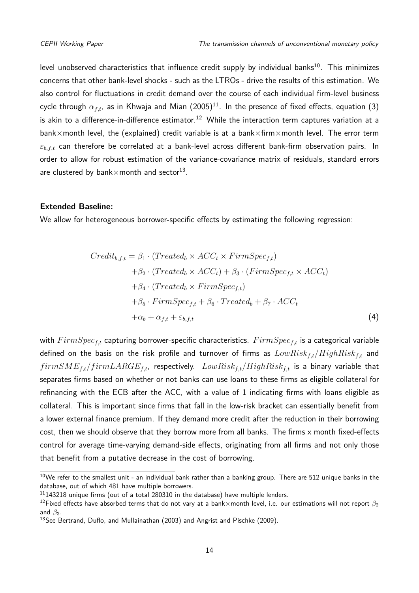level unobserved characteristics that influence credit supply by individual banks<sup>[10](#page-2-0)</sup>. This minimizes concerns that other bank-level shocks - such as the LTROs - drive the results of this estimation. We also control for fluctuations in credit demand over the course of each individual firm-level business cycle through  $\alpha_{f,t}$ , as in Khwaja and Mian  $(2005)^{11}.$  $(2005)^{11}.$  $(2005)^{11}.$  $(2005)^{11}.$  In the presence of fixed effects, equation  $(3)$ is akin to a difference-in-difference estimator.<sup>[12](#page-2-0)</sup> While the interaction term captures variation at a bank×month level, the (explained) credit variable is at a bank×firm×month level. The error term *εb,f,t* can therefore be correlated at a bank-level across different bank-firm observation pairs. In order to allow for robust estimation of the variance-covariance matrix of residuals, standard errors are clustered by bank $\times$ month and sector $^{13}.$  $^{13}.$  $^{13}.$ 

#### **Extended Baseline:**

We allow for heterogeneous borrower-specific effects by estimating the following regression:

$$
Credit_{b,f,t} = \beta_1 \cdot (Treated_b \times ACC_t \times FirmSpec_{f,t})
$$
  
+ $\beta_2 \cdot (Treated_b \times ACC_t) + \beta_3 \cdot (FirmSpec_{f,t} \times ACC_t)$   
+ $\beta_4 \cdot (Treated_b \times FirmSpec_{f,t})$   
+ $\beta_5 \cdot FirmSpec_{f,t} + \beta_6 \cdot Treated_b + \beta_7 \cdot ACC_t$   
+ $\alpha_b + \alpha_{f,t} + \varepsilon_{b,f,t}$  (4)

with  $FirmSpec<sub>ft</sub>$  capturing borrower-specific characteristics.  $FirmSpec<sub>ft</sub>$  is a categorical variable defined on the basis on the risk profile and turnover of firms as *LowRiskf,t*/*HighRiskf,t* and *f irmSMEf,t/f irmLARGEf,t*, respectively. *LowRiskf,t*/*HighRiskf,t* is a binary variable that separates firms based on whether or not banks can use loans to these firms as eligible collateral for refinancing with the ECB after the ACC, with a value of 1 indicating firms with loans eligible as collateral. This is important since firms that fall in the low-risk bracket can essentially benefit from a lower external finance premium. If they demand more credit after the reduction in their borrowing cost, then we should observe that they borrow more from all banks. The firms x month fixed-effects control for average time-varying demand-side effects, originating from all firms and not only those that benefit from a putative decrease in the cost of borrowing.

 $10$ We refer to the smallest unit - an individual bank rather than a banking group. There are 512 unique banks in the database, out of which 481 have multiple borrowers.

 $11143218$  unique firms (out of a total 280310 in the database) have multiple lenders.

<sup>&</sup>lt;sup>12</sup>Fixed effects have absorbed terms that do not vary at a bank×month level, i.e. our estimations will not report  $β_2$ and  $\beta_3$ .

<sup>&</sup>lt;sup>13</sup>See Bertrand, Duflo, and Mullainathan [\(2003\)](#page-23-10) and Angrist and Pischke [\(2009\)](#page-23-11).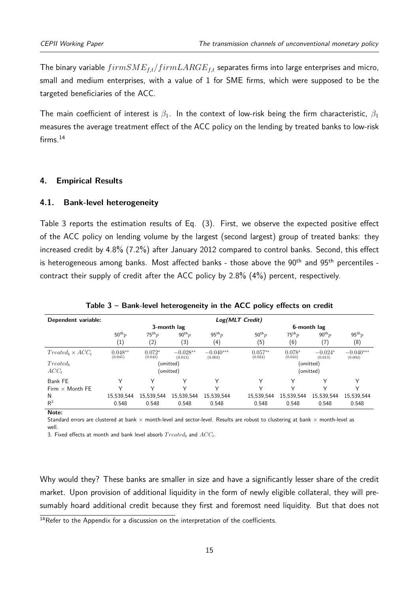The binary variable *f irmSMEf,t/f irmLARGEf,t* separates firms into large enterprises and micro, small and medium enterprises, with a value of 1 for SME firms, which were supposed to be the targeted beneficiaries of the ACC.

The main coefficient of interest is  $\beta_1$ . In the context of low-risk being the firm characteristic,  $\beta_1$ measures the average treatment effect of the ACC policy on the lending by treated banks to low-risk firms.<sup>[14](#page-2-0)</sup>

#### <span id="page-16-0"></span>**4. Empirical Results**

#### **4.1. Bank-level heterogeneity**

[Table 3](#page-16-1) reports the estimation results of Eq. (3). First, we observe the expected positive effect of the ACC policy on lending volume by the largest (second largest) group of treated banks: they increased credit by 4.8% (7.2%) after January 2012 compared to control banks. Second, this effect is heterogeneous among banks. Most affected banks - those above the 90<sup>th</sup> and 95<sup>th</sup> percentiles contract their supply of credit after the ACC policy by 2.8% (4%) percent, respectively.

<span id="page-16-1"></span>

| Dependent variable:      |                      | Log(MLT Credit)     |                       |                        |                      |                     |                      |                        |
|--------------------------|----------------------|---------------------|-----------------------|------------------------|----------------------|---------------------|----------------------|------------------------|
|                          |                      | 3-month lag         |                       |                        | 6-month lag          |                     |                      |                        |
|                          | $50^{th}p$           | $75^{th}p$          | $90^{th}p$            | $95^{th}p$             | $50^{th}p$           | $75^{th}p$          | $90^{th} p$          | $95^{th}p$             |
|                          | $\left( 1\right)$    | (2)                 | $\scriptstyle{(3)}$   | $^{(4)}$               | (5)                  | (6)                 | (7)                  | (8)                    |
| $Treated_b \times ACC_t$ | $0.048**$<br>(0.045) | $0.072*$<br>(0.043) | $-0.028**$<br>(0.013) | $-0.040***$<br>(0.003) | $0.057**$<br>(0.024) | $0.078*$<br>(0.043) | $-0.024*$<br>(0.013) | $-0.040***$<br>(0.003) |
| $Treated_b$              |                      |                     | (omitted)             |                        |                      |                     | (omitted)            |                        |
| $ACC_t$                  |                      |                     | (omitted)             |                        |                      |                     | (omitted)            |                        |
| Bank FE                  |                      |                     |                       |                        |                      |                     | ∨                    |                        |
| Firm $\times$ Month FE   |                      |                     |                       |                        |                      |                     |                      |                        |
| N                        | 15,539,544           | 15,539,544          | 15,539,544            | 15.539.544             | 15,539,544           | 15,539,544          | 15,539,544           | 15,539,544             |
| $\mathsf{R}^2$           | 0.548                | 0.548               | 0.548                 | 0.548                  | 0.548                | 0.548               | 0.548                | 0.548                  |
| Note:                    |                      |                     |                       |                        |                      |                     |                      |                        |

**Table 3 – Bank-level heterogeneity in the ACC policy effects on credit**

Standard errors are clustered at bank  $\times$  month-level and sector-level. Results are robust to clustering at bank  $\times$  month-level as well.

3. Fixed effects at month and bank level absorb *T reated<sup>b</sup>* and *ACCt*.

Why would they? These banks are smaller in size and have a significantly lesser share of the credit market. Upon provision of additional liquidity in the form of newly eligible collateral, they will presumably hoard additional credit because they first and foremost need liquidity. But that does not

 $14$ Refer to the [Appendix](#page-26-0) for a discussion on the interpretation of the coefficients.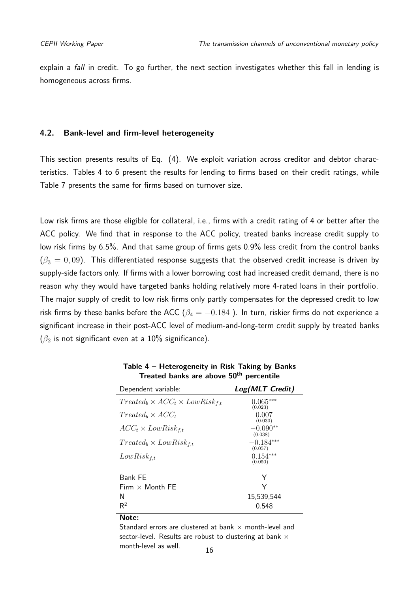explain a *fall* in credit. To go further, the next section investigates whether this fall in lending is homogeneous across firms.

#### **4.2. Bank-level and firm-level heterogeneity**

This section presents results of Eq. (4). We exploit variation across creditor and debtor characteristics. Tables [4](#page-17-0) to [6](#page-20-0) present the results for lending to firms based on their credit ratings, while [Table 7](#page-21-1) presents the same for firms based on turnover size.

Low risk firms are those eligible for collateral, i.e., firms with a credit rating of 4 or better after the ACC policy. We find that in response to the ACC policy, treated banks increase credit supply to low risk firms by 6.5%. And that same group of firms gets 0.9% less credit from the control banks  $(\beta_3 = 0, 09)$ . This differentiated response suggests that the observed credit increase is driven by supply-side factors only. If firms with a lower borrowing cost had increased credit demand, there is no reason why they would have targeted banks holding relatively more 4-rated loans in their portfolio. The major supply of credit to low risk firms only partly compensates for the depressed credit to low risk firms by these banks before the ACC ( $\beta_4 = -0.184$ ). In turn, riskier firms do not experience a significant increase in their post-ACC level of medium-and-long-term credit supply by treated banks (*β*<sup>2</sup> is not significant even at a 10% significance).

<span id="page-17-0"></span>

| Dependent variable:                           | Log(MLT Credit)        |
|-----------------------------------------------|------------------------|
| $Treated_b \times ACC_t \times LowRisk_{f,t}$ | $0.065***$<br>(0.023)  |
| $Treated_b \times ACC_t$                      | 0.007<br>(0.030)       |
| $ACC_t \times LowRisk_{f,t}$                  | $-0.090**$<br>(0.038)  |
| $Treated_b \times LowRisk_{f,t}$              | $-0.184***$<br>(0.057) |
| $LowRisk_{f,t}$                               | $0.154***$<br>(0.050)  |
| Bank FE                                       | Y                      |
| Firm $\times$ Month FE                        | Υ                      |
| N                                             | 15,539,544             |
| $\mathsf{R}^2$                                | 0.548                  |

**Table 4 – Heterogeneity in Risk Taking by Banks Treated banks are above 50th percentile**

**Note:**

Standard errors are clustered at bank  $\times$  month-level and sector-level. Results are robust to clustering at bank  $\times$ month-level as well.  $16$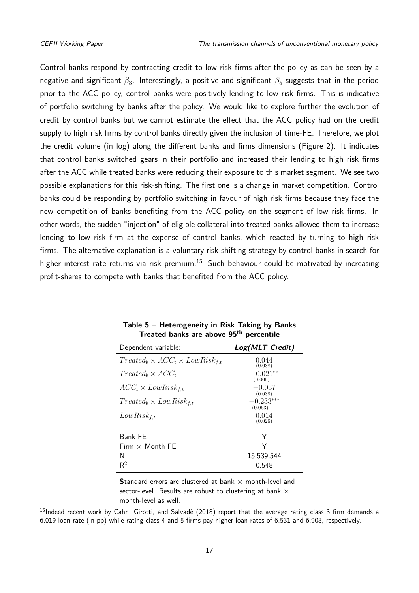Control banks respond by contracting credit to low risk firms after the policy as can be seen by a negative and significant  $\beta_3$ . Interestingly, a positive and significant  $\beta_5$  suggests that in the period prior to the ACC policy, control banks were positively lending to low risk firms. This is indicative of portfolio switching by banks after the policy. We would like to explore further the evolution of credit by control banks but we cannot estimate the effect that the ACC policy had on the credit supply to high risk firms by control banks directly given the inclusion of time-FE. Therefore, we plot the credit volume (in log) along the different banks and firms dimensions [\(Figure 2\)](#page-26-0). It indicates that control banks switched gears in their portfolio and increased their lending to high risk firms after the ACC while treated banks were reducing their exposure to this market segment. We see two possible explanations for this risk-shifting. The first one is a change in market competition. Control banks could be responding by portfolio switching in favour of high risk firms because they face the new competition of banks benefiting from the ACC policy on the segment of low risk firms. In other words, the sudden "injection" of eligible collateral into treated banks allowed them to increase lending to low risk firm at the expense of control banks, which reacted by turning to high risk firms. The alternative explanation is a voluntary risk-shifting strategy by control banks in search for higher interest rate returns via risk premium.<sup>[15](#page-2-0)</sup> Such behaviour could be motivated by increasing profit-shares to compete with banks that benefited from the ACC policy.

<span id="page-18-0"></span>

| Dependent variable:                            | Log(MLT Credit)             |
|------------------------------------------------|-----------------------------|
| $Treated_b \times ACC_t \times LowRisk_{f.t.}$ | 0.044<br>(0.038)            |
| $Treated_b \times ACC_t$                       | $-0.021**$                  |
| $ACC_t \times LowRisk_{f.t.}$                  | (0.009)<br>$-0.037$         |
| $Treated_b \times LowRisk_{f.t.}$              | (0.038)<br>$-0.233***$      |
| $LowRisk_{f,t}$                                | (0.063)<br>0.014<br>(0.026) |
|                                                |                             |
| <b>Bank FF</b>                                 | Y                           |
| Firm $\times$ Month FF                         | Y                           |
| N                                              | 15,539,544                  |
| $\mathsf{R}^2$                                 | 0.548                       |

**Table 5 – Heterogeneity in Risk Taking by Banks Treated banks are above 95th percentile**

**Standard errors are clustered at bank**  $\times$  **month-level and** sector-level. Results are robust to clustering at bank  $\times$ month-level as well.

<sup>15</sup>Indeed recent work by Cahn, Girotti, and Salvadè [\(2018\)](#page-23-12) report that the average rating class 3 firm demands a 6.019 loan rate (in pp) while rating class 4 and 5 firms pay higher loan rates of 6.531 and 6.908, respectively.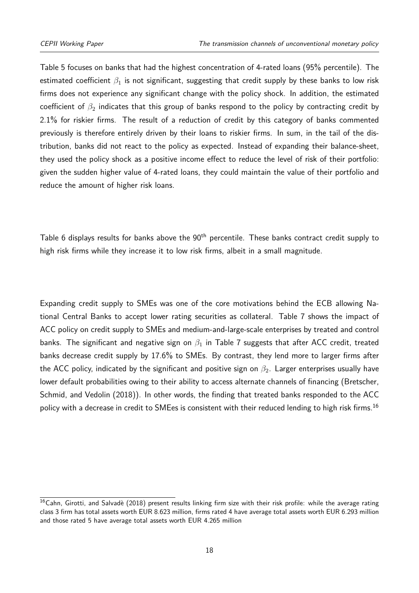[Table 5](#page-18-0) focuses on banks that had the highest concentration of 4-rated loans (95% percentile). The estimated coefficient  $\beta_1$  is not significant, suggesting that credit supply by these banks to low risk firms does not experience any significant change with the policy shock. In addition, the estimated coefficient of  $\beta_2$  indicates that this group of banks respond to the policy by contracting credit by 2.1% for riskier firms. The result of a reduction of credit by this category of banks commented previously is therefore entirely driven by their loans to riskier firms. In sum, in the tail of the distribution, banks did not react to the policy as expected. Instead of expanding their balance-sheet, they used the policy shock as a positive income effect to reduce the level of risk of their portfolio: given the sudden higher value of 4-rated loans, they could maintain the value of their portfolio and reduce the amount of higher risk loans.

[Table 6](#page-20-0) displays results for banks above the 90<sup>th</sup> percentile. These banks contract credit supply to high risk firms while they increase it to low risk firms, albeit in a small magnitude.

Expanding credit supply to SMEs was one of the core motivations behind the ECB allowing National Central Banks to accept lower rating securities as collateral. [Table 7](#page-21-1) shows the impact of ACC policy on credit supply to SMEs and medium-and-large-scale enterprises by treated and control banks. The significant and negative sign on *β*<sup>1</sup> in [Table 7](#page-21-1) suggests that after ACC credit, treated banks decrease credit supply by 17.6% to SMEs. By contrast, they lend more to larger firms after the ACC policy, indicated by the significant and positive sign on  $β_2$ . Larger enterprises usually have lower default probabilities owing to their ability to access alternate channels of financing (Bretscher, Schmid, and Vedolin [\(2018\)](#page-23-13)). In other words, the finding that treated banks responded to the ACC policy with a decrease in credit to SMEes is consistent with their reduced lending to high risk firms.<sup>[16](#page-2-0)</sup>

<sup>&</sup>lt;sup>16</sup>Cahn, Girotti, and Salvadè [\(2018\)](#page-23-12) present results linking firm size with their risk profile: while the average rating class 3 firm has total assets worth EUR 8.623 million, firms rated 4 have average total assets worth EUR 6.293 million and those rated 5 have average total assets worth EUR 4.265 million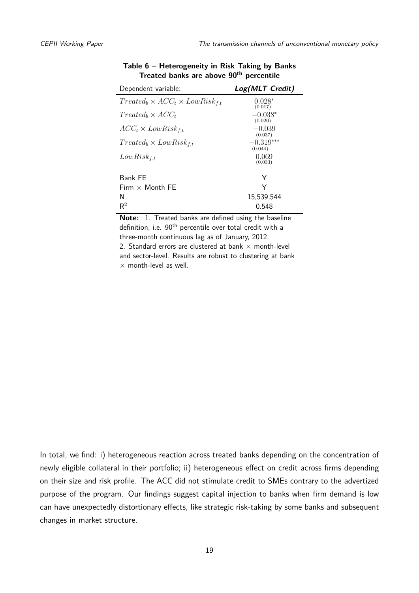<span id="page-20-0"></span>

| Dependent variable:                           | Log(MLT Credit)        |
|-----------------------------------------------|------------------------|
| $Treated_b \times ACC_t \times LowRisk_{f,t}$ | $0.028*$<br>(0.017)    |
| $Treated_b \times ACC_t$                      | $-0.038*$<br>(0.020)   |
| $ACC_t \times LowRisk_{f,t}$                  | $-0.039$<br>(0.037)    |
| $Treated_b \times LowRisk_{f,t}$              | $-0.319***$<br>(0.044) |
| $LowRisk_{f,t}$                               | 0.069<br>(0.033)       |
| Bank FE                                       | Υ                      |
| Firm $\times$ Month FF                        | Y                      |
| N                                             | 15,539,544             |
| $\mathsf{R}^2$                                | 0.548                  |

#### **Table 6 – Heterogeneity in Risk Taking by Banks Treated banks are above 90th percentile**

**Note:** 1. Treated banks are defined using the baseline definition, i.e. 90<sup>th</sup> percentile over total credit with a three-month continuous lag as of January, 2012. 2. Standard errors are clustered at bank  $\times$  month-level and sector-level. Results are robust to clustering at bank  $\times$  month-level as well.

In total, we find: i) heterogeneous reaction across treated banks depending on the concentration of newly eligible collateral in their portfolio; ii) heterogeneous effect on credit across firms depending on their size and risk profile. The ACC did not stimulate credit to SMEs contrary to the advertized purpose of the program. Our findings suggest capital injection to banks when firm demand is low can have unexpectedly distortionary effects, like strategic risk-taking by some banks and subsequent changes in market structure.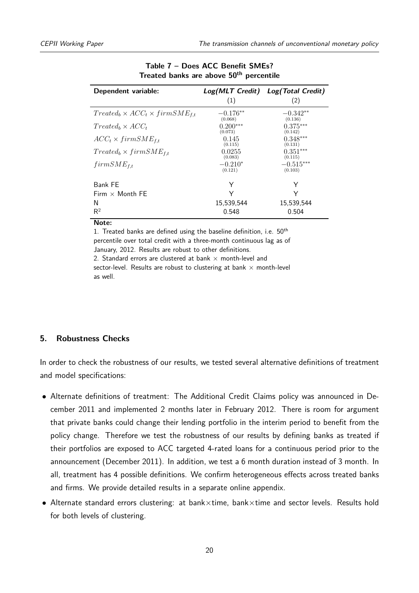<span id="page-21-1"></span>

| Dependent variable:                           | (1)                   | Log(MLT Credit) Log(Total Credit)<br>(2) |
|-----------------------------------------------|-----------------------|------------------------------------------|
| $Treated_b \times ACC_t \times firmSME_{f,t}$ | $-0.176**$<br>(0.068) | $-0.342**$<br>(0.136)                    |
| $Treated_b \times ACC_t$                      | $0.200***$<br>(0.073) | $0.375***$<br>(0.142)                    |
| $ACC_t \times firmSME_{f,t}$                  | 0.145<br>(0.115)      | $0.348***$<br>(0.131)                    |
| $Treated_b \times firmSME_{f.t.}$             | 0.0255<br>(0.083)     | $0.351***$<br>(0.115)                    |
| $firmSME_{f,t}$                               | $-0.210*$<br>(0.121)  | $-0.515***$<br>(0.103)                   |
| Bank FE                                       | Υ                     | Y                                        |
| Firm $\times$ Month FE                        | Υ                     | Υ                                        |
| N                                             | 15,539,544            | 15,539,544                               |
| $\mathsf{R}^2$                                | 0.548                 | 0.504                                    |

#### **Table 7 – Does ACC Benefit SMEs? Treated banks are above 50th percentile**

**Note:**

1. Treated banks are defined using the baseline definition, i.e.  $50<sup>th</sup>$ percentile over total credit with a three-month continuous lag as of January, 2012. Results are robust to other definitions. 2. Standard errors are clustered at bank  $\times$  month-level and sector-level. Results are robust to clustering at bank  $\times$  month-level as well.

#### <span id="page-21-0"></span>**5. Robustness Checks**

In order to check the robustness of our results, we tested several alternative definitions of treatment and model specifications:

- Alternate definitions of treatment: The Additional Credit Claims policy was announced in December 2011 and implemented 2 months later in February 2012. There is room for argument that private banks could change their lending portfolio in the interim period to benefit from the policy change. Therefore we test the robustness of our results by defining banks as treated if their portfolios are exposed to ACC targeted 4-rated loans for a continuous period prior to the announcement (December 2011). In addition, we test a 6 month duration instead of 3 month. In all, treatment has 4 possible definitions. We confirm heterogeneous effects across treated banks and firms. We provide detailed results in a separate online appendix.
- Alternate standard errors clustering: at bank×time, bank×time and sector levels. Results hold for both levels of clustering.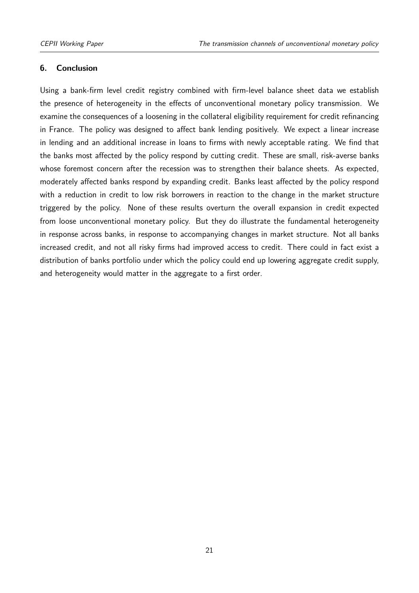#### <span id="page-22-0"></span>**6. Conclusion**

Using a bank-firm level credit registry combined with firm-level balance sheet data we establish the presence of heterogeneity in the effects of unconventional monetary policy transmission. We examine the consequences of a loosening in the collateral eligibility requirement for credit refinancing in France. The policy was designed to affect bank lending positively. We expect a linear increase in lending and an additional increase in loans to firms with newly acceptable rating. We find that the banks most affected by the policy respond by cutting credit. These are small, risk-averse banks whose foremost concern after the recession was to strengthen their balance sheets. As expected, moderately affected banks respond by expanding credit. Banks least affected by the policy respond with a reduction in credit to low risk borrowers in reaction to the change in the market structure triggered by the policy. None of these results overturn the overall expansion in credit expected from loose unconventional monetary policy. But they do illustrate the fundamental heterogeneity in response across banks, in response to accompanying changes in market structure. Not all banks increased credit, and not all risky firms had improved access to credit. There could in fact exist a distribution of banks portfolio under which the policy could end up lowering aggregate credit supply, and heterogeneity would matter in the aggregate to a first order.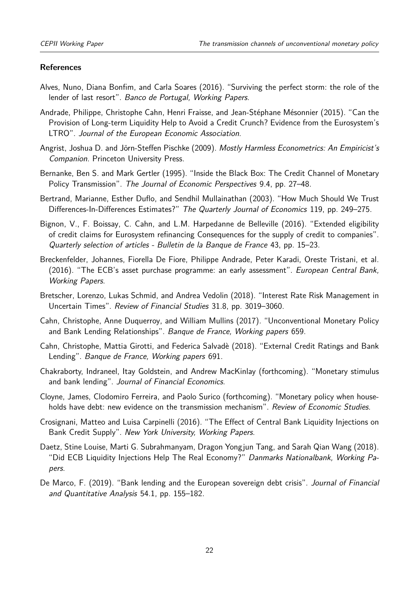#### **References**

- <span id="page-23-6"></span>Alves, Nuno, Diana Bonfim, and Carla Soares (2016). "Surviving the perfect storm: the role of the lender of last resort". Banco de Portugal, Working Papers.
- <span id="page-23-7"></span>Andrade, Philippe, Christophe Cahn, Henri Fraisse, and Jean-Stéphane Mésonnier (2015). "Can the Provision of Long-term Liquidity Help to Avoid a Credit Crunch? Evidence from the Eurosystem's LTRO". Journal of the European Economic Association.
- <span id="page-23-11"></span>Angrist, Joshua D. and Jörn-Steffen Pischke (2009). Mostly Harmless Econometrics: An Empiricist's Companion. Princeton University Press.
- Bernanke, Ben S. and Mark Gertler (1995). "Inside the Black Box: The Credit Channel of Monetary Policy Transmission". The Journal of Economic Perspectives 9.4, pp. 27–48.
- <span id="page-23-10"></span>Bertrand, Marianne, Esther Duflo, and Sendhil Mullainathan (2003). "How Much Should We Trust Differences-In-Differences Estimates?" The Quarterly Journal of Economics 119, pp. 249–275.
- <span id="page-23-9"></span>Bignon, V., F. Boissay, C. Cahn, and L.M. Harpedanne de Belleville (2016). "Extended eligibility of credit claims for Eurosystem refinancing Consequences for the supply of credit to companies". Quarterly selection of articles - Bulletin de la Banque de France 43, pp. 15–23.
- <span id="page-23-4"></span>Breckenfelder, Johannes, Fiorella De Fiore, Philippe Andrade, Peter Karadi, Oreste Tristani, et al. (2016). "The ECB's asset purchase programme: an early assessment". European Central Bank, Working Papers.
- <span id="page-23-13"></span>Bretscher, Lorenzo, Lukas Schmid, and Andrea Vedolin (2018). "Interest Rate Risk Management in Uncertain Times". Review of Financial Studies 31.8, pp. 3019–3060.
- <span id="page-23-2"></span>Cahn, Christophe, Anne Duquerroy, and William Mullins (2017). "Unconventional Monetary Policy and Bank Lending Relationships". Banque de France, Working papers 659.
- <span id="page-23-12"></span>Cahn, Christophe, Mattia Girotti, and Federica Salvadè (2018). "External Credit Ratings and Bank Lending". Banque de France, Working papers 691.
- <span id="page-23-5"></span>Chakraborty, Indraneel, Itay Goldstein, and Andrew MacKinlay (forthcoming). "Monetary stimulus and bank lending". Journal of Financial Economics.
- <span id="page-23-8"></span>Cloyne, James, Clodomiro Ferreira, and Paolo Surico (forthcoming). "Monetary policy when households have debt: new evidence on the transmission mechanism". Review of Economic Studies.
- <span id="page-23-1"></span>Crosignani, Matteo and Luisa Carpinelli (2016). "The Effect of Central Bank Liquidity Injections on Bank Credit Supply". New York University, Working Papers.
- <span id="page-23-0"></span>Daetz, Stine Louise, Marti G. Subrahmanyam, Dragon Yongjun Tang, and Sarah Qian Wang (2018). "Did ECB Liquidity Injections Help The Real Economy?" Danmarks Nationalbank, Working Papers.
- <span id="page-23-3"></span>De Marco, F. (2019). "Bank lending and the European sovereign debt crisis". Journal of Financial and Quantitative Analysis 54.1, pp. 155–182.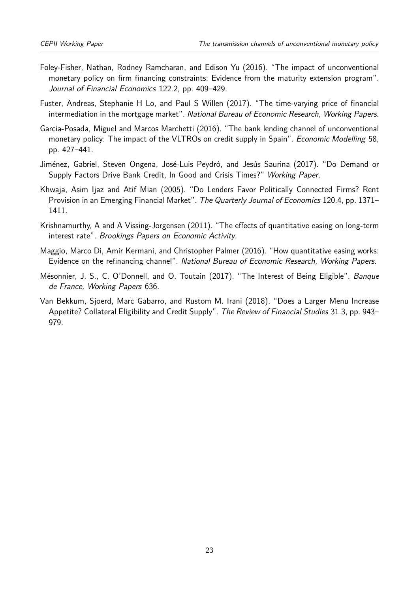- <span id="page-24-5"></span>Foley-Fisher, Nathan, Rodney Ramcharan, and Edison Yu (2016). "The impact of unconventional monetary policy on firm financing constraints: Evidence from the maturity extension program". Journal of Financial Economics 122.2, pp. 409–429.
- <span id="page-24-6"></span>Fuster, Andreas, Stephanie H Lo, and Paul S Willen (2017). "The time-varying price of financial intermediation in the mortgage market". National Bureau of Economic Research, Working Papers.
- <span id="page-24-7"></span>Garcia-Posada, Miguel and Marcos Marchetti (2016). "The bank lending channel of unconventional monetary policy: The impact of the VLTROs on credit supply in Spain". *Economic Modelling* 58, pp. 427–441.
- <span id="page-24-2"></span>Jiménez, Gabriel, Steven Ongena, José-Luis Peydró, and Jesús Saurina (2017). "Do Demand or Supply Factors Drive Bank Credit, In Good and Crisis Times?" Working Paper.
- <span id="page-24-8"></span>Khwaja, Asim Ijaz and Atif Mian (2005). "Do Lenders Favor Politically Connected Firms? Rent Provision in an Emerging Financial Market". The Quarterly Journal of Economics 120.4, pp. 1371– 1411.
- <span id="page-24-3"></span>Krishnamurthy, A and A Vissing-Jorgensen (2011). "The effects of quantitative easing on long-term interest rate". Brookings Papers on Economic Activity.
- <span id="page-24-4"></span>Maggio, Marco Di, Amir Kermani, and Christopher Palmer (2016). "How quantitative easing works: Evidence on the refinancing channel". National Bureau of Economic Research, Working Papers.
- <span id="page-24-1"></span>Mésonnier, J. S., C. O'Donnell, and O. Toutain (2017). "The Interest of Being Eligible". Banque de France, Working Papers 636.
- <span id="page-24-0"></span>Van Bekkum, Sjoerd, Marc Gabarro, and Rustom M. Irani (2018). "Does a Larger Menu Increase Appetite? Collateral Eligibility and Credit Supply". The Review of Financial Studies 31.3, pp. 943– 979.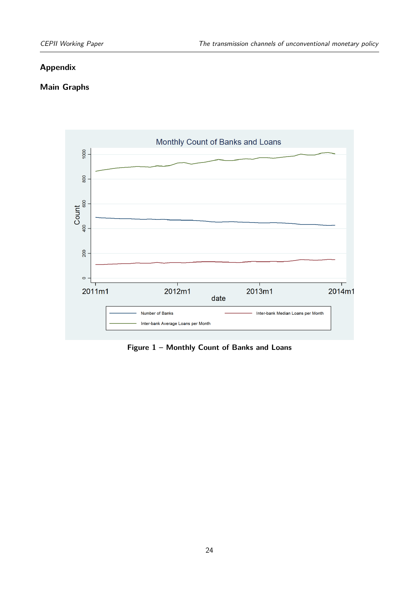#### **Appendix**

#### **Main Graphs**

<span id="page-25-0"></span>

**Figure 1 – Monthly Count of Banks and Loans**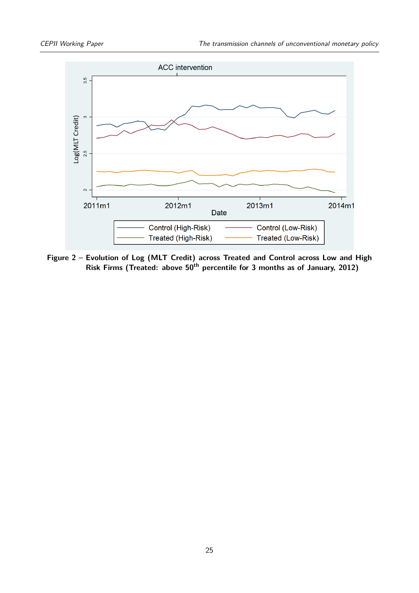<span id="page-26-0"></span>

**Figure 2 – Evolution of Log (MLT Credit) across Treated and Control across Low and High Risk Firms (Treated: above 50th percentile for 3 months as of January, 2012)**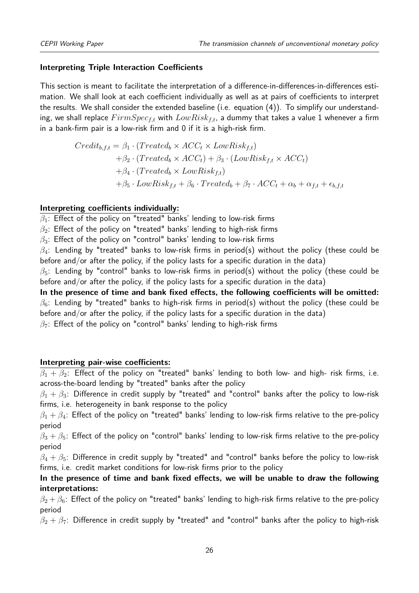#### **Interpreting Triple Interaction Coefficients**

This section is meant to facilitate the interpretation of a difference-in-differences-in-differences estimation. We shall look at each coefficient individually as well as at pairs of coefficients to interpret the results. We shall consider the extended baseline (i.e. equation (4)). To simplify our understanding, we shall replace *F irmSpecf,t* with *LowRiskf,t*, a dummy that takes a value 1 whenever a firm in a bank-firm pair is a low-risk firm and 0 if it is a high-risk firm.

$$
Credit_{b,f,t} = \beta_1 \cdot (Treated_b \times ACC_t \times LowRisk_{f,t})
$$
  
+ $\beta_2 \cdot (Treated_b \times ACC_t) + \beta_3 \cdot (LowRisk_{f,t} \times ACC_t)$   
+ $\beta_4 \cdot (Treated_b \times LowRisk_{f,t})$   
+ $\beta_5 \cdot LowRisk_{f,t} + \beta_6 \cdot Treated_b + \beta_7 \cdot ACC_t + \alpha_b + \alpha_{f,t} + \epsilon_{b,f,t}$ 

#### **Interpreting coefficients individually:**

*β*1: Effect of the policy on "treated" banks' lending to low-risk firms

*β*2: Effect of the policy on "treated" banks' lending to high-risk firms

*β*3: Effect of the policy on "control" banks' lending to low-risk firms

*β*4: Lending by "treated" banks to low-risk firms in period(s) without the policy (these could be before and/or after the policy, if the policy lasts for a specific duration in the data)

 $\beta_5$ : Lending by "control" banks to low-risk firms in period(s) without the policy (these could be before and/or after the policy, if the policy lasts for a specific duration in the data)

**In the presence of time and bank fixed effects, the following coefficients will be omitted:**  $\beta_6$ : Lending by "treated" banks to high-risk firms in period(s) without the policy (these could be before and/or after the policy, if the policy lasts for a specific duration in the data)

*β*7: Effect of the policy on "control" banks' lending to high-risk firms

#### **Interpreting pair-wise coefficients:**

 $\beta_1 + \beta_2$ : Effect of the policy on "treated" banks' lending to both low- and high- risk firms, i.e. across-the-board lending by "treated" banks after the policy

 $\beta_1 + \beta_3$ : Difference in credit supply by "treated" and "control" banks after the policy to low-risk firms, i.e. heterogeneity in bank response to the policy

 $\beta_1 + \beta_4$ : Effect of the policy on "treated" banks' lending to low-risk firms relative to the pre-policy period

 $\beta_3 + \beta_5$ : Effect of the policy on "control" banks' lending to low-risk firms relative to the pre-policy period

 $\beta_4 + \beta_5$ : Difference in credit supply by "treated" and "control" banks before the policy to low-risk firms, i.e. credit market conditions for low-risk firms prior to the policy

### **In the presence of time and bank fixed effects, we will be unable to draw the following interpretations:**

 $\beta_2 + \beta_6$ : Effect of the policy on "treated" banks' lending to high-risk firms relative to the pre-policy period

 $\beta_2 + \beta_7$ : Difference in credit supply by "treated" and "control" banks after the policy to high-risk